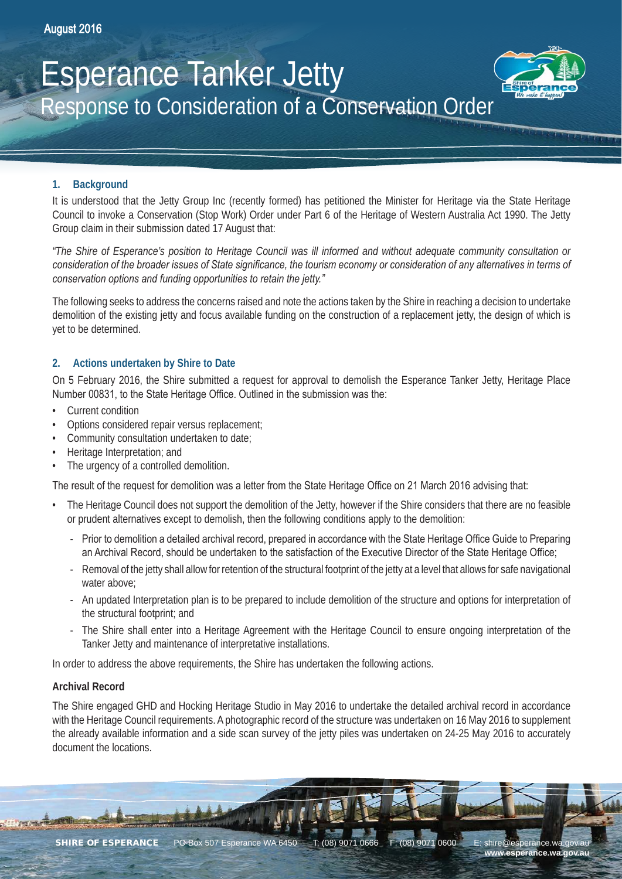# Esperance Tanker Jetty Response to Consideration of a Conservation Order



It is understood that the Jetty Group Inc (recently formed) has petitioned the Minister for Heritage via the State Heritage Council to invoke a Conservation (Stop Work) Order under Part 6 of the Heritage of Western Australia Act 1990. The Jetty Group claim in their submission dated 17 August that:

*"The Shire of Esperance's position to Heritage Council was ill informed and without adequate community consultation or consideration of the broader issues of State significance, the tourism economy or consideration of any alternatives in terms of conservation options and funding opportunities to retain the jetty."*

The following seeks to address the concerns raised and note the actions taken by the Shire in reaching a decision to undertake demolition of the existing jetty and focus available funding on the construction of a replacement jetty, the design of which is yet to be determined.

### **2. Actions undertaken by Shire to Date**

On 5 February 2016, the Shire submitted a request for approval to demolish the Esperance Tanker Jetty, Heritage Place Number 00831, to the State Heritage Office. Outlined in the submission was the:

- Current condition
- Options considered repair versus replacement;
- Community consultation undertaken to date;
- Heritage Interpretation; and
- The urgency of a controlled demolition.

The result of the request for demolition was a letter from the State Heritage Office on 21 March 2016 advising that:

- The Heritage Council does not support the demolition of the Jetty, however if the Shire considers that there are no feasible or prudent alternatives except to demolish, then the following conditions apply to the demolition:
	- Prior to demolition a detailed archival record, prepared in accordance with the State Heritage Office Guide to Preparing an Archival Record, should be undertaken to the satisfaction of the Executive Director of the State Heritage Office;
	- Removal of the jetty shall allow for retention of the structural footprint of the jetty at a level that allows for safe navigational water above;
	- An updated Interpretation plan is to be prepared to include demolition of the structure and options for interpretation of the structural footprint; and
	- The Shire shall enter into a Heritage Agreement with the Heritage Council to ensure ongoing interpretation of the Tanker Jetty and maintenance of interpretative installations.

In order to address the above requirements, the Shire has undertaken the following actions.

#### **Archival Record**

The Shire engaged GHD and Hocking Heritage Studio in May 2016 to undertake the detailed archival record in accordance with the Heritage Council requirements. A photographic record of the structure was undertaken on 16 May 2016 to supplement the already available information and a side scan survey of the jetty piles was undertaken on 24-25 May 2016 to accurately document the locations.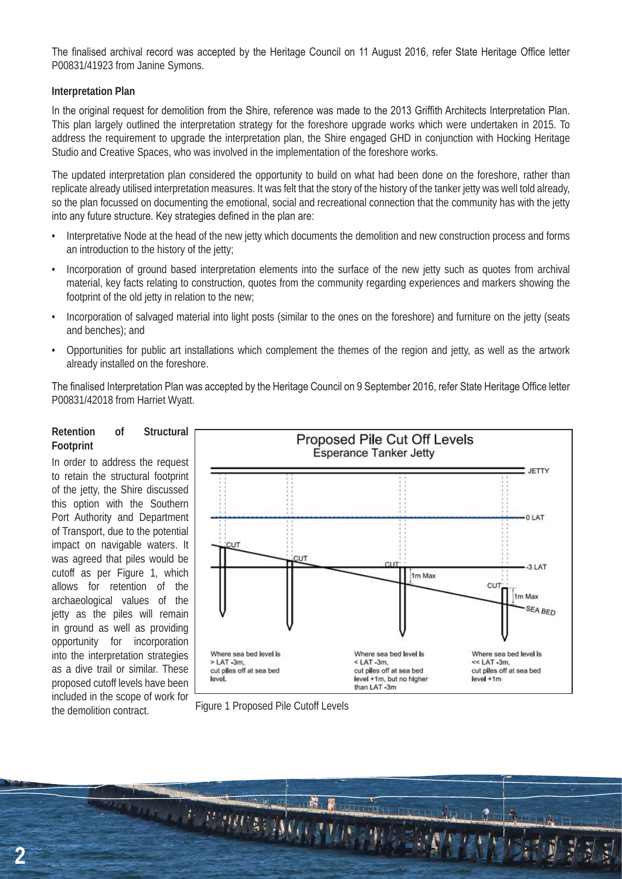The finalised archival record was accepted by the Heritage Council on 11 August 2016, refer State Heritage Office letter P00831/41923 from Janine Symons.

#### **Interpretation Plan**

In the original request for demolition from the Shire, reference was made to the 2013 Griffith Architects Interpretation Plan. This plan largely outlined the interpretation strategy for the foreshore upgrade works which were undertaken in 2015. To address the requirement to upgrade the interpretation plan, the Shire engaged GHD in conjunction with Hocking Heritage Studio and Creative Spaces, who was involved in the implementation of the foreshore works.

The updated interpretation plan considered the opportunity to build on what had been done on the foreshore, rather than replicate already utilised interpretation measures. It was felt that the story of the history of the tanker jetty was well told already, so the plan focussed on documenting the emotional, social and recreational connection that the community has with the jetty into any future structure. Key strategies defined in the plan are:

- Interpretative Node at the head of the new jetty which documents the demolition and new construction process and forms an introduction to the history of the jetty;
- Incorporation of ground based interpretation elements into the surface of the new jetty such as quotes from archival material, key facts relating to construction, quotes from the community regarding experiences and markers showing the footprint of the old jetty in relation to the new;
- Incorporation of salvaged material into light posts (similar to the ones on the foreshore) and furniture on the jetty (seats and benches); and
- Opportunities for public art installations which complement the themes of the region and jetty, as well as the artwork already installed on the foreshore.

The finalised Interpretation Plan was accepted by the Heritage Council on 9 September 2016, refer State Heritage Office letter P00831/42018 from Harriet Wyatt.

#### **Retention of Structural Footprint**

In order to address the request to retain the structural footprint of the jetty, the Shire discussed this option with the Southern Port Authority and Department of Transport, due to the potential impact on navigable waters. It was agreed that piles would be cutoff as per Figure 1, which allows for retention of the archaeological values of the jetty as the piles will remain in ground as well as providing opportunity for incorporation into the interpretation strategies as a dive trail or similar. These proposed cutoff levels have been included in the scope of work for



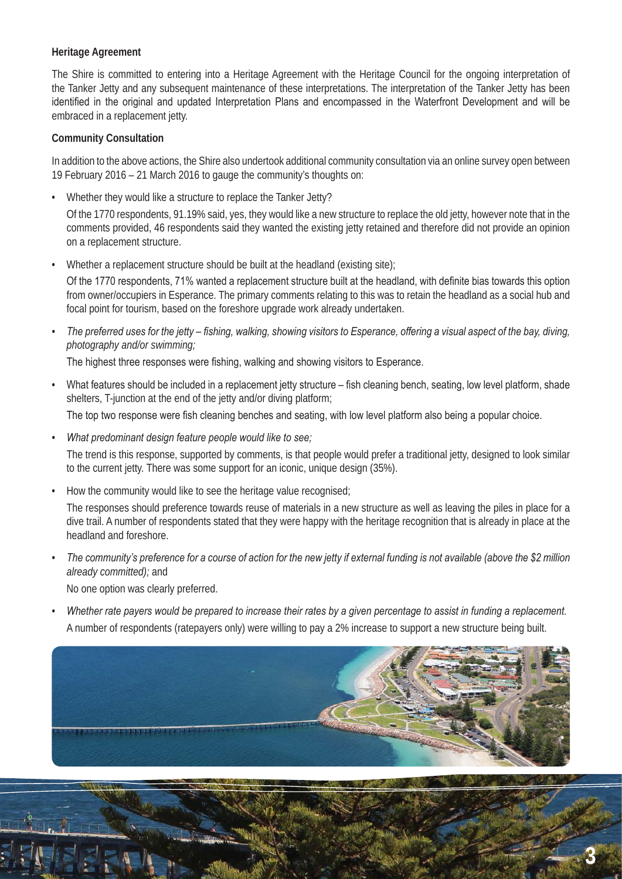### **Heritage Agreement**

The Shire is committed to entering into a Heritage Agreement with the Heritage Council for the ongoing interpretation of the Tanker Jetty and any subsequent maintenance of these interpretations. The interpretation of the Tanker Jetty has been identified in the original and updated Interpretation Plans and encompassed in the Waterfront Development and will be embraced in a replacement jetty.

### **Community Consultation**

In addition to the above actions, the Shire also undertook additional community consultation via an online survey open between 19 February 2016 – 21 March 2016 to gauge the community's thoughts on:

• Whether they would like a structure to replace the Tanker Jetty?

Of the 1770 respondents, 91.19% said, yes, they would like a new structure to replace the old jetty, however note that in the comments provided. 46 respondents said they wanted the existing jetty retained and therefore did not provide an opinion on a replacement structure.

• Whether a replacement structure should be built at the headland (existing site);

Of the 1770 respondents, 71% wanted a replacement structure built at the headland, with definite bias towards this option from owner/occupiers in Esperance. The primary comments relating to this was to retain the headland as a social hub and focal point for tourism, based on the foreshore upgrade work already undertaken.

*• The preferred uses for the jetty – fishing, walking, showing visitors to Esperance, offering a visual aspect of the bay, diving, photography and/or swimming;*

The highest three responses were fishing, walking and showing visitors to Esperance.

- What features should be included in a replacement jetty structure fish cleaning bench, seating, low level platform, shade shelters, T-junction at the end of the jetty and/or diving platform; The top two response were fish cleaning benches and seating, with low level platform also being a popular choice.
- *• What predominant design feature people would like to see;*

The trend is this response, supported by comments, is that people would prefer a traditional jetty, designed to look similar to the current jetty. There was some support for an iconic, unique design (35%).

• How the community would like to see the heritage value recognised;

The responses should preference towards reuse of materials in a new structure as well as leaving the piles in place for a dive trail. A number of respondents stated that they were happy with the heritage recognition that is already in place at the headland and foreshore.

*• The community's preference for a course of action for the new jetty if external funding is not available (above the \$2 million already committed);* and

No one option was clearly preferred.

*• Whether rate payers would be prepared to increase their rates by a given percentage to assist in funding a replacement.* A number of respondents (ratepayers only) were willing to pay a 2% increase to support a new structure being built.



**3**